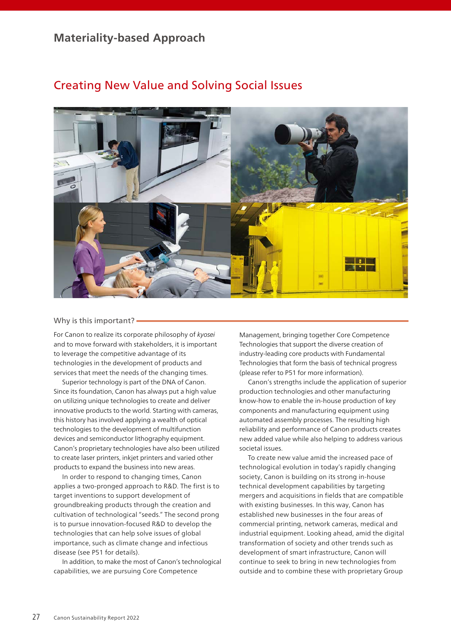## **Materiality-based Approach**



# Creating New Value and Solving Social Issues

## Why is this important? -

For Canon to realize its corporate philosophy of *kyosei* and to move forward with stakeholders, it is important to leverage the competitive advantage of its technologies in the development of products and services that meet the needs of the changing times.

Superior technology is part of the DNA of Canon. Since its foundation, Canon has always put a high value on utilizing unique technologies to create and deliver innovative products to the world. Starting with cameras, this history has involved applying a wealth of optical technologies to the development of multifunction devices and semiconductor lithography equipment. Canon's proprietary technologies have also been utilized to create laser printers, inkjet printers and varied other products to expand the business into new areas.

In order to respond to changing times, Canon applies a two-pronged approach to R&D. The first is to target inventions to support development of groundbreaking products through the creation and cultivation of technological "seeds." The second prong is to pursue innovation-focused R&D to develop the technologies that can help solve issues of global importance, such as climate change and infectious disease (see P51 for details).

In addition, to make the most of Canon's technological capabilities, we are pursuing Core Competence

Management, bringing together Core Competence Technologies that support the diverse creation of industry-leading core products with Fundamental Technologies that form the basis of technical progress (please refer to P51 for more information).

Canon's strengths include the application of superior production technologies and other manufacturing know-how to enable the in-house production of key components and manufacturing equipment using automated assembly processes. The resulting high reliability and performance of Canon products creates new added value while also helping to address various societal issues.

To create new value amid the increased pace of technological evolution in today's rapidly changing society, Canon is building on its strong in-house technical development capabilities by targeting mergers and acquisitions in fields that are compatible with existing businesses. In this way, Canon has established new businesses in the four areas of commercial printing, network cameras, medical and industrial equipment. Looking ahead, amid the digital transformation of society and other trends such as development of smart infrastructure, Canon will continue to seek to bring in new technologies from outside and to combine these with proprietary Group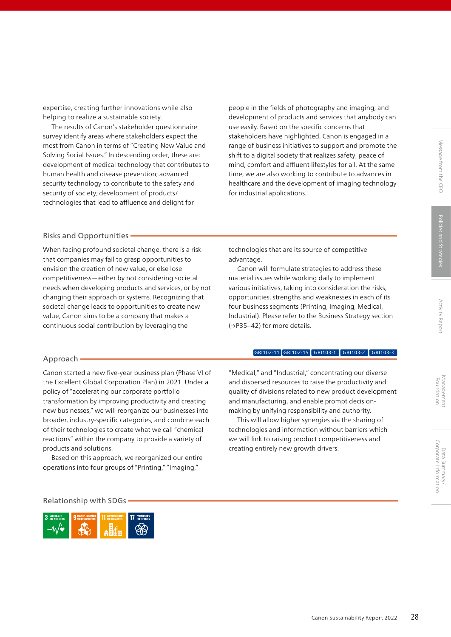expertise, creating further innovations while also helping to realize a sustainable society.

The results of Canon's stakeholder questionnaire survey identify areas where stakeholders expect the most from Canon in terms of "Creating New Value and Solving Social Issues." In descending order, these are: development of medical technology that contributes to human health and disease prevention; advanced security technology to contribute to the safety and security of society; development of products/ technologies that lead to affluence and delight for

people in the fields of photography and imaging; and development of products and services that anybody can use easily. Based on the specific concerns that stakeholders have highlighted, Canon is engaged in a range of business initiatives to support and promote the shift to a digital society that realizes safety, peace of mind, comfort and affluent lifestyles for all. At the same time, we are also working to contribute to advances in healthcare and the development of imaging technology for industrial applications.

## Risks and Opportunities

When facing profound societal change, there is a risk that companies may fail to grasp opportunities to envision the creation of new value, or else lose competitiveness—either by not considering societal needs when developing products and services, or by not changing their approach or systems. Recognizing that societal change leads to opportunities to create new value, Canon aims to be a company that makes a continuous social contribution by leveraging the

technologies that are its source of competitive advantage.

Canon will formulate strategies to address these material issues while working daily to implement various initiatives, taking into consideration the risks, opportunities, strengths and weaknesses in each of its four business segments (Printing, Imaging, Medical, Industrial). Please refer to the Business Strategy section (→P35–42) for more details.

## Approach

Canon started a new five-year business plan (Phase VI of the Excellent Global Corporation Plan) in 2021. Under a policy of "accelerating our corporate portfolio transformation by improving productivity and creating new businesses," we will reorganize our businesses into broader, industry-specific categories, and combine each of their technologies to create what we call "chemical reactions" within the company to provide a variety of products and solutions.

Based on this approach, we reorganized our entire operations into four groups of "Printing," "Imaging,"

"Medical," and "Industrial," concentrating our diverse and dispersed resources to raise the productivity and quality of divisions related to new product development and manufacturing, and enable prompt decisionmaking by unifying responsibility and authority.

GRI102-11 GRI102-15 GRI103-1 GRI103-2 GRI103-3

This will allow higher synergies via the sharing of technologies and information without barriers which we will link to raising product competitiveness and creating entirely new growth drivers.

Relationship with SDGs

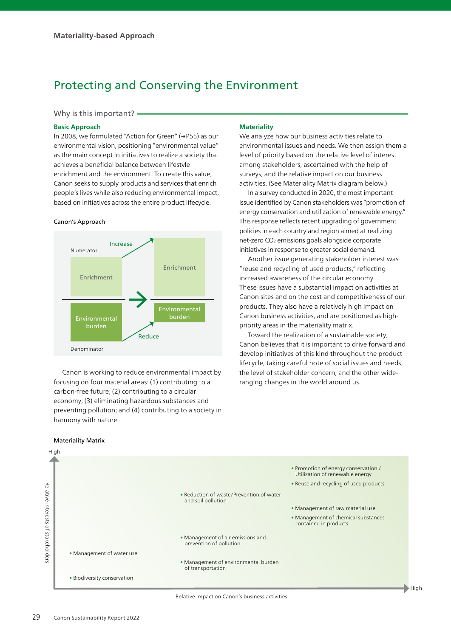# Protecting and Conserving the Environment

**Materiality**

We analyze how our business activities relate to

environmental issues and needs. We then assign them a level of priority based on the relative level of interest among stakeholders, ascertained with the help of surveys, and the relative impact on our business activities. (See Materiality Matrix diagram below.) In a survey conducted in 2020, the most important issue identified by Canon stakeholders was "promotion of energy conservation and utilization of renewable energy." This response reflects recent upgrading of government policies in each country and region aimed at realizing net-zero CO2 emissions goals alongside corporate initiatives in response to greater social demand.

Another issue generating stakeholder interest was "reuse and recycling of used products," reflecting increased awareness of the circular economy.

These issues have a substantial impact on activities at Canon sites and on the cost and competitiveness of our products. They also have a relatively high impact on Canon business activities, and are positioned as high-

Toward the realization of a sustainable society, Canon believes that it is important to drive forward and develop initiatives of this kind throughout the product lifecycle, taking careful note of social issues and needs, the level of stakeholder concern, and the other wide-

priority areas in the materiality matrix.

ranging changes in the world around us.

## Why is this important? -

## **Basic Approach**

In 2008, we formulated "Action for Green" (→P55) as our environmental vision, positioning "environmental value" as the main concept in initiatives to realize a society that achieves a beneficial balance between lifestyle enrichment and the environment. To create this value, Canon seeks to supply products and services that enrich people's lives while also reducing environmental impact, based on initiatives across the entire product lifecycle.

#### Canon's Approach



Canon is working to reduce environmental impact by focusing on four material areas: (1) contributing to a carbon-free future; (2) contributing to a circular economy; (3) eliminating hazardous substances and preventing pollution; and (4) contributing to a society in harmony with nature.

#### Materiality Matrix

## High • Promotion of energy conservation / Utilization of renewable energy • Reuse and recycling of used products Relative interests of stakeholder: Relative interests of stakeholders • Reduction of waste/Prevention of water and soil pollution • Management of raw material use • Management of chemical substances contained in products • Management of air emissions and prevention of pollution • Management of water use • Management of environmental burden of transportation • Biodiversity conservation

#### Relative impact on Canon's business activities

 $\blacktriangleright$  High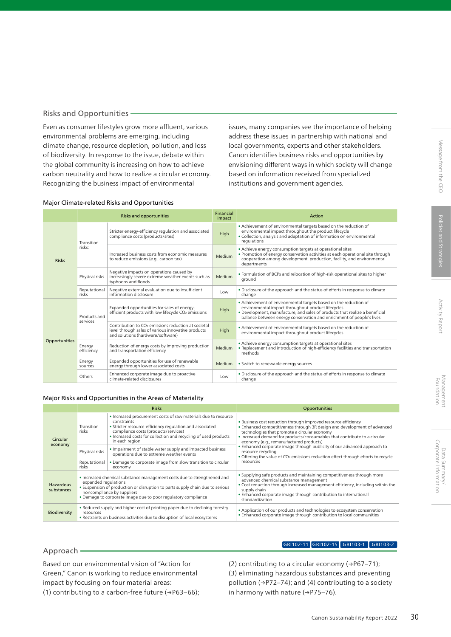## Risks and Opportunities

Even as consumer lifestyles grow more affluent, various environmental problems are emerging, including climate change, resource depletion, pollution, and loss of biodiversity. In response to the issue, debate within the global community is increasing on how to achieve carbon neutrality and how to realize a circular economy. Recognizing the business impact of environmental

issues, many companies see the importance of helping address these issues in partnership with national and local governments, experts and other stakeholders. Canon identifies business risks and opportunities by envisioning different ways in which society will change based on information received from specialized institutions and government agencies.

## Major Climate-related Risks and Opportunities

|               | <b>Risks and opportunities</b> |                                                                                                                                                            | Financial<br>impact | Action                                                                                                                                                                                                                                                                        |
|---------------|--------------------------------|------------------------------------------------------------------------------------------------------------------------------------------------------------|---------------------|-------------------------------------------------------------------------------------------------------------------------------------------------------------------------------------------------------------------------------------------------------------------------------|
| <b>Risks</b>  | Transition<br>risks:           | Stricter energy-efficiency regulation and associated<br>compliance costs (products/sites)                                                                  | High                | • Achievement of environmental targets based on the reduction of<br>environmental impact throughout the product lifecycle<br>. Collection, analysis and adaptation of information on environmental<br>regulations                                                             |
|               |                                | Increased business costs from economic measures<br>to reduce emissions (e.g., carbon tax)                                                                  | Medium              | • Achieve energy consumption targets at operational sites<br>. Promotion of energy conservation activities at each operational site through<br>cooperation among development, production, facility, and environmental<br>departments                                          |
|               | Physical risks                 | Negative impacts on operations caused by<br>increasingly severe extreme weather events such as<br>typhoons and floods                                      | Medium              | . Formulation of BCPs and relocation of high-risk operational sites to higher<br>ground                                                                                                                                                                                       |
|               | Reputational<br>risks          | Negative external evaluation due to insufficient<br>information disclosure                                                                                 | Low                 | . Disclosure of the approach and the status of efforts in response to climate<br>change                                                                                                                                                                                       |
| Opportunities | Products and<br>services       | Expanded opportunities for sales of energy-<br>efficient products with low lifecycle CO <sub>2</sub> emissions                                             | High                | • Achievement of environmental targets based on the reduction of<br>environmental impact throughout product lifecycles<br>. Development, manufacture, and sales of products that realize a beneficial<br>balance between energy conservation and enrichment of people's lives |
|               |                                | Contribution to CO <sub>2</sub> emissions reduction at societal<br>level through sales of various innovative products<br>and solutions (hardware/software) | High                | • Achievement of environmental targets based on the reduction of<br>environmental impact throughout product lifecycles                                                                                                                                                        |
|               | Energy<br>efficiency           | Reduction of energy costs by improving production<br>and transportation efficiency                                                                         | Medium              | • Achieve energy consumption targets at operational sites<br>. Replacement and introduction of high-efficiency facilities and transportation<br>methods                                                                                                                       |
|               | Energy<br>sources              | Expanded opportunities for use of renewable<br>energy through lower associated costs                                                                       | Medium              | · Switch to renewable energy sources                                                                                                                                                                                                                                          |
|               | Others                         | Enhanced corporate image due to proactive<br>climate-related disclosures                                                                                   | l ow                | . Disclosure of the approach and the status of efforts in response to climate<br>change                                                                                                                                                                                       |

#### Major Risks and Opportunities in the Areas of Materiality

|                         | <b>Risks</b>                                                                                                                                                                                                                                                                    |                                                                                                                                                                                                                                                                        | <b>Opportunities</b>                                                                                                                                                                                                                                                                                                                                                                                                                                                                                                               |
|-------------------------|---------------------------------------------------------------------------------------------------------------------------------------------------------------------------------------------------------------------------------------------------------------------------------|------------------------------------------------------------------------------------------------------------------------------------------------------------------------------------------------------------------------------------------------------------------------|------------------------------------------------------------------------------------------------------------------------------------------------------------------------------------------------------------------------------------------------------------------------------------------------------------------------------------------------------------------------------------------------------------------------------------------------------------------------------------------------------------------------------------|
| Circular<br>economy     | Transition<br>risks                                                                                                                                                                                                                                                             | • Increased procurement costs of raw materials due to resource<br>constraints<br>• Stricter resource-efficiency regulation and associated<br>compliance costs (products/services)<br>. Increased costs for collection and recycling of used products<br>in each region | . Business cost reduction through improved resource efficiency<br>. Enhanced competitiveness through 3R design and development of advanced<br>technologies that promote a circular economy<br>. Increased demand for products/consumables that contribute to a circular<br>economy (e.g., remanufactured products)<br>. Enhanced corporate image through publicity of our advanced approach to<br>resource recycling<br>• Offering the value of CO <sub>2</sub> emissions reduction effect through efforts to recycle<br>resources |
|                         | Physical risks                                                                                                                                                                                                                                                                  | . Impairment of stable water supply and impacted business<br>operations due to extreme weather events                                                                                                                                                                  |                                                                                                                                                                                                                                                                                                                                                                                                                                                                                                                                    |
|                         | Reputational<br>risks                                                                                                                                                                                                                                                           | • Damage to corporate image from slow transition to circular<br>economy                                                                                                                                                                                                |                                                                                                                                                                                                                                                                                                                                                                                                                                                                                                                                    |
| Hazardous<br>substances | • Increased chemical substance management costs due to strengthened and<br>expanded regulations<br>. Suspension of production or disruption to parts supply chain due to serious<br>noncompliance by suppliers<br>• Damage to corporate image due to poor regulatory compliance |                                                                                                                                                                                                                                                                        | . Supplying safe products and maintaining competitiveness through more<br>advanced chemical substance management<br>. Cost reduction through increased management efficiency, including within the<br>supply chain<br>. Enhanced corporate image through contribution to international<br>standardization                                                                                                                                                                                                                          |
| Biodiversity            | . Reduced supply and higher cost of printing paper due to declining forestry<br>resources<br>. Restraints on business activities due to disruption of local ecosystems                                                                                                          |                                                                                                                                                                                                                                                                        | • Application of our products and technologies to ecosystem conservation<br>. Enhanced corporate image through contribution to local communities                                                                                                                                                                                                                                                                                                                                                                                   |

## Approach

## GRI102-11 GRI102-15 GRI103-1 GRI103-2

Based on our environmental vision of "Action for Green," Canon is working to reduce environmental impact by focusing on four material areas: (1) contributing to a carbon-free future (→P63–66); (2) contributing to a circular economy  $( \rightarrow P67-71)$ ; (3) eliminating hazardous substances and preventing pollution (→P72–74); and (4) contributing to a society in harmony with nature (→P75–76).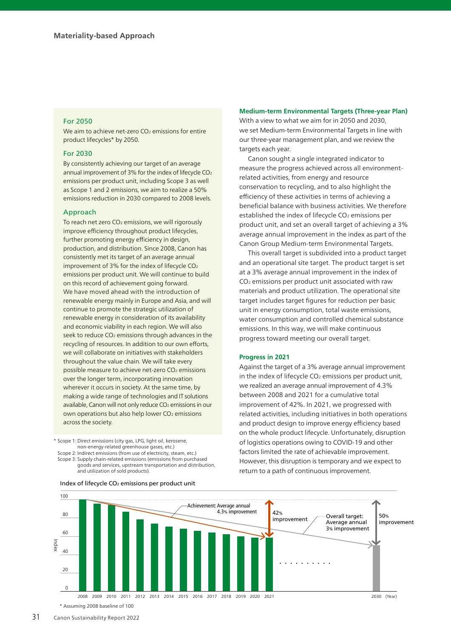## For 2050

We aim to achieve net-zero CO<sub>2</sub> emissions for entire product lifecycles\* by 2050.

## For 2030

By consistently achieving our target of an average annual improvement of 3% for the index of lifecycle  $CO<sub>2</sub>$ emissions per product unit, including Scope 3 as well as Scope 1 and 2 emissions, we aim to realize a 50% emissions reduction in 2030 compared to 2008 levels.

## Approach

To reach net zero CO<sub>2</sub> emissions, we will rigorously improve efficiency throughout product lifecycles, further promoting energy efficiency in design, production, and distribution. Since 2008, Canon has consistently met its target of an average annual improvement of 3% for the index of lifecycle  $CO<sub>2</sub>$ emissions per product unit. We will continue to build on this record of achievement going forward. We have moved ahead with the introduction of renewable energy mainly in Europe and Asia, and will continue to promote the strategic utilization of renewable energy in consideration of its availability and economic viability in each region. We will also seek to reduce CO<sub>2</sub> emissions through advances in the recycling of resources. In addition to our own efforts, we will collaborate on initiatives with stakeholders throughout the value chain. We will take every possible measure to achieve net-zero CO2 emissions over the longer term, incorporating innovation wherever it occurs in society. At the same time, by making a wide range of technologies and IT solutions available, Canon will not only reduce CO<sub>2</sub> emissions in our own operations but also help lower CO<sub>2</sub> emissions across the society.

\* Scope 1: Direct emissions (city gas, LPG, light oil, kerosene, non-energy-related greenhouse gases, etc.)

Scope 2: Indirect emissions (from use of electricity, steam, etc.) Scope 3: Supply chain-related emissions (emissions from purchased goods and services, upstream transportation and distribution, and utilization of sold products).

#### 20  $40$ 60 80 100 •••••••••• 50% improvement 42% improvement Achievement: Average annual<br>4.3% improvement Overall target: Average annual 3% improvement Index of lifecycle CO<sub>2</sub> emissions per product unit

2009 2010 2011 2012 2013 2014 2015 2016 2017 2018 2019 2020 2021

## **Medium-term Environmental Targets (Three-year Plan)**

With a view to what we aim for in 2050 and 2030, we set Medium-term Environmental Targets in line with our three-year management plan, and we review the targets each year.

Canon sought a single integrated indicator to measure the progress achieved across all environmentrelated activities, from energy and resource conservation to recycling, and to also highlight the efficiency of these activities in terms of achieving a beneficial balance with business activities. We therefore established the index of lifecycle CO<sub>2</sub> emissions per product unit, and set an overall target of achieving a 3% average annual improvement in the index as part of the Canon Group Medium-term Environmental Targets.

This overall target is subdivided into a product target and an operational site target. The product target is set at a 3% average annual improvement in the index of CO2 emissions per product unit associated with raw materials and product utilization. The operational site target includes target figures for reduction per basic unit in energy consumption, total waste emissions, water consumption and controlled chemical substance emissions. In this way, we will make continuous progress toward meeting our overall target.

## **Progress in 2021**

Against the target of a 3% average annual improvement in the index of lifecycle  $CO<sub>2</sub>$  emissions per product unit, we realized an average annual improvement of 4.3% between 2008 and 2021 for a cumulative total improvement of 42%. In 2021, we progressed with related activities, including initiatives in both operations and product design to improve energy efficiency based on the whole product lifecycle. Unfortunately, disruption of logistics operations owing to COVID-19 and other factors limited the rate of achievable improvement. However, this disruption is temporary and we expect to return to a path of continuous improvement.

2030 (Year)

\* Assuming 2008 baseline of 100

2008

0

Index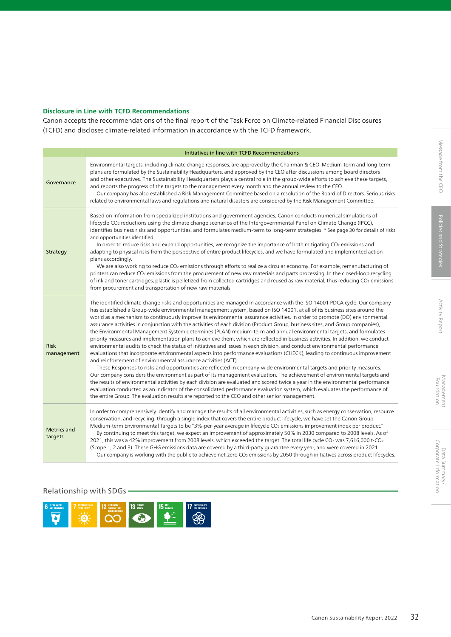Canon accepts the recommendations of the final report of the Task Force on Climate-related Financial Disclosures (TCFD) and discloses climate-related information in accordance with the TCFD framework.

|                               | Initiatives in line with TCFD Recommendations                                                                                                                                                                                                                                                                                                                                                                                                                                                                                                                                                                                                                                                                                                                                                                                                                                                                                                                                                                                                                                                                                                                                                                                                                                                                                                                                                                                                                                                                                                                                                                                                                                                                                          |  |  |
|-------------------------------|----------------------------------------------------------------------------------------------------------------------------------------------------------------------------------------------------------------------------------------------------------------------------------------------------------------------------------------------------------------------------------------------------------------------------------------------------------------------------------------------------------------------------------------------------------------------------------------------------------------------------------------------------------------------------------------------------------------------------------------------------------------------------------------------------------------------------------------------------------------------------------------------------------------------------------------------------------------------------------------------------------------------------------------------------------------------------------------------------------------------------------------------------------------------------------------------------------------------------------------------------------------------------------------------------------------------------------------------------------------------------------------------------------------------------------------------------------------------------------------------------------------------------------------------------------------------------------------------------------------------------------------------------------------------------------------------------------------------------------------|--|--|
| Governance                    | Environmental targets, including climate change responses, are approved by the Chairman & CEO. Medium-term and long-term<br>plans are formulated by the Sustainability Headquarters, and approved by the CEO after discussions among board directors<br>and other executives. The Sustainability Headquarters plays a central role in the group-wide efforts to achieve these targets,<br>and reports the progress of the targets to the management every month and the annual review to the CEO.<br>Our company has also established a Risk Management Committee based on a resolution of the Board of Directors. Serious risks<br>related to environmental laws and regulations and natural disasters are considered by the Risk Management Committee.                                                                                                                                                                                                                                                                                                                                                                                                                                                                                                                                                                                                                                                                                                                                                                                                                                                                                                                                                                               |  |  |
| Strategy                      | Based on information from specialized institutions and government agencies, Canon conducts numerical simulations of<br>lifecycle CO <sub>2</sub> reductions using the climate change scenarios of the Intergovernmental Panel on Climate Change (IPCC),<br>identifies business risks and opportunities, and formulates medium-term to long-term strategies. * See page 30 for details of risks<br>and opportunities identified<br>In order to reduce risks and expand opportunities, we recognize the importance of both mitigating CO <sub>2</sub> emissions and<br>adapting to physical risks from the perspective of entire product lifecycles, and we have formulated and implemented action<br>plans accordingly.<br>We are also working to reduce CO <sub>2</sub> emissions through efforts to realize a circular economy. For example, remanufacturing of<br>printers can reduce CO <sub>2</sub> emissions from the procurement of new raw materials and parts processing. In the closed-loop recycling<br>of ink and toner cartridges, plastic is pelletized from collected cartridges and reused as raw material, thus reducing CO2 emissions<br>from procurement and transportation of new raw materials.                                                                                                                                                                                                                                                                                                                                                                                                                                                                                                                    |  |  |
| <b>Risk</b><br>management     | The identified climate change risks and opportunities are managed in accordance with the ISO 14001 PDCA cycle. Our company<br>has established a Group-wide environmental management system, based on ISO 14001, at all of its business sites around the<br>world as a mechanism to continuously improve its environmental assurance activities. In order to promote (DO) environmental<br>assurance activities in conjunction with the activities of each division (Product Group, business sites, and Group companies),<br>the Environmental Management System determines (PLAN) medium-term and annual environmental targets, and formulates<br>priority measures and implementation plans to achieve them, which are reflected in business activities. In addition, we conduct<br>environmental audits to check the status of initiatives and issues in each division, and conduct environmental performance<br>evaluations that incorporate environmental aspects into performance evaluations (CHECK), leading to continuous improvement<br>and reinforcement of environmental assurance activities (ACT).<br>These Responses to risks and opportunities are reflected in company-wide environmental targets and priority measures.<br>Our company considers the environment as part of its management evaluation. The achievement of environmental targets and<br>the results of environmental activities by each division are evaluated and scored twice a year in the environmental performance<br>evaluation conducted as an indicator of the consolidated performance evaluation system, which evaluates the performance of<br>the entire Group. The evaluation results are reported to the CEO and other senior management. |  |  |
| <b>Metrics and</b><br>targets | In order to comprehensively identify and manage the results of all environmental activities, such as energy conservation, resource<br>conservation, and recycling, through a single index that covers the entire product lifecycle, we have set the Canon Group<br>Medium-term Environmental Targets to be "3%-per-year average in lifecycle CO <sub>2</sub> emissions improvement index per product."<br>By continuing to meet this target, we expect an improvement of approximately 50% in 2030 compared to 2008 levels. As of<br>2021, this was a 42% improvement from 2008 levels, which exceeded the target. The total life cycle CO2 was 7,616,000 t-CO2<br>(Scope 1, 2 and 3). These GHG emissions data are covered by a third-party quarantee every year, and were covered in 2021.<br>Our company is working with the public to achieve net-zero CO <sub>2</sub> emissions by 2050 through initiatives across product lifecycles.                                                                                                                                                                                                                                                                                                                                                                                                                                                                                                                                                                                                                                                                                                                                                                                            |  |  |

## Relationship with SDGs

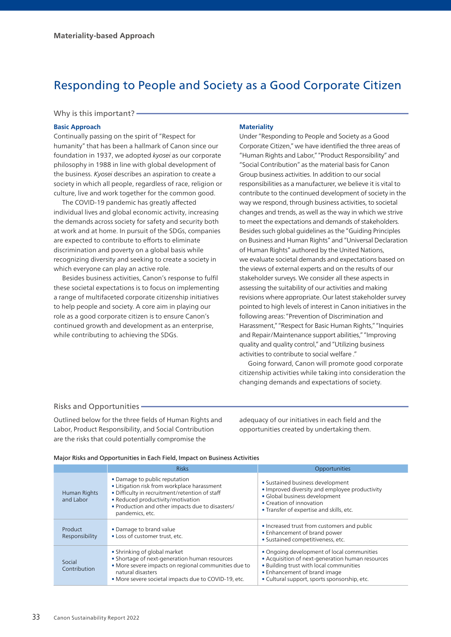# Responding to People and Society as a Good Corporate Citizen

## Why is this important? -

## **Basic Approach**

Continually passing on the spirit of "Respect for humanity" that has been a hallmark of Canon since our foundation in 1937, we adopted *kyosei* as our corporate philosophy in 1988 in line with global development of the business. *Kyosei* describes an aspiration to create a society in which all people, regardless of race, religion or culture, live and work together for the common good.

The COVID-19 pandemic has greatly affected individual lives and global economic activity, increasing the demands across society for safety and security both at work and at home. In pursuit of the SDGs, companies are expected to contribute to efforts to eliminate discrimination and poverty on a global basis while recognizing diversity and seeking to create a society in which everyone can play an active role.

Besides business activities, Canon's response to fulfil these societal expectations is to focus on implementing a range of multifaceted corporate citizenship initiatives to help people and society. A core aim in playing our role as a good corporate citizen is to ensure Canon's continued growth and development as an enterprise, while contributing to achieving the SDGs.

## **Materiality**

Under "Responding to People and Society as a Good Corporate Citizen," we have identified the three areas of "Human Rights and Labor," "Product Responsibility" and "Social Contribution" as the material basis for Canon Group business activities. In addition to our social responsibilities as a manufacturer, we believe it is vital to contribute to the continued development of society in the way we respond, through business activities, to societal changes and trends, as well as the way in which we strive to meet the expectations and demands of stakeholders. Besides such global guidelines as the "Guiding Principles on Business and Human Rights" and "Universal Declaration of Human Rights" authored by the United Nations, we evaluate societal demands and expectations based on the views of external experts and on the results of our stakeholder surveys. We consider all these aspects in assessing the suitability of our activities and making revisions where appropriate. Our latest stakeholder survey pointed to high levels of interest in Canon initiatives in the following areas: "Prevention of Discrimination and Harassment," "Respect for Basic Human Rights," "Inquiries and Repair/Maintenance support abilities," "Improving quality and quality control," and "Utilizing business activities to contribute to social welfare ."

Going forward, Canon will promote good corporate citizenship activities while taking into consideration the changing demands and expectations of society.

## Risks and Opportunities

Outlined below for the three fields of Human Rights and Labor, Product Responsibility, and Social Contribution are the risks that could potentially compromise the

adequacy of our initiatives in each field and the opportunities created by undertaking them.

#### Major Risks and Opportunities in Each Field, Impact on Business Activities

|                           | <b>Risks</b>                                                                                                                                                                                                                               | Opportunities                                                                                                                                                                                                             |
|---------------------------|--------------------------------------------------------------------------------------------------------------------------------------------------------------------------------------------------------------------------------------------|---------------------------------------------------------------------------------------------------------------------------------------------------------------------------------------------------------------------------|
| Human Rights<br>and Labor | • Damage to public reputation<br>• Litigation risk from workplace harassment<br>• Difficulty in recruitment/retention of staff<br>• Reduced productivity/motivation<br>• Production and other impacts due to disasters/<br>pandemics, etc. | • Sustained business development<br>• Improved diversity and employee productivity<br>· Global business development<br>• Creation of innovation<br>• Transfer of expertise and skills, etc.                               |
| Product<br>Responsibility | • Damage to brand value<br>• Loss of customer trust, etc.                                                                                                                                                                                  | • Increased trust from customers and public<br>• Enhancement of brand power<br>· Sustained competitiveness, etc.                                                                                                          |
| Social<br>Contribution    | • Shrinking of global market<br>• Shortage of next-generation human resources<br>· More severe impacts on regional communities due to<br>natural disasters<br>• More severe societal impacts due to COVID-19, etc.                         | • Ongoing development of local communities<br>• Acquisition of next-generation human resources<br>. Building trust with local communities<br>• Enhancement of brand image<br>• Cultural support, sports sponsorship, etc. |